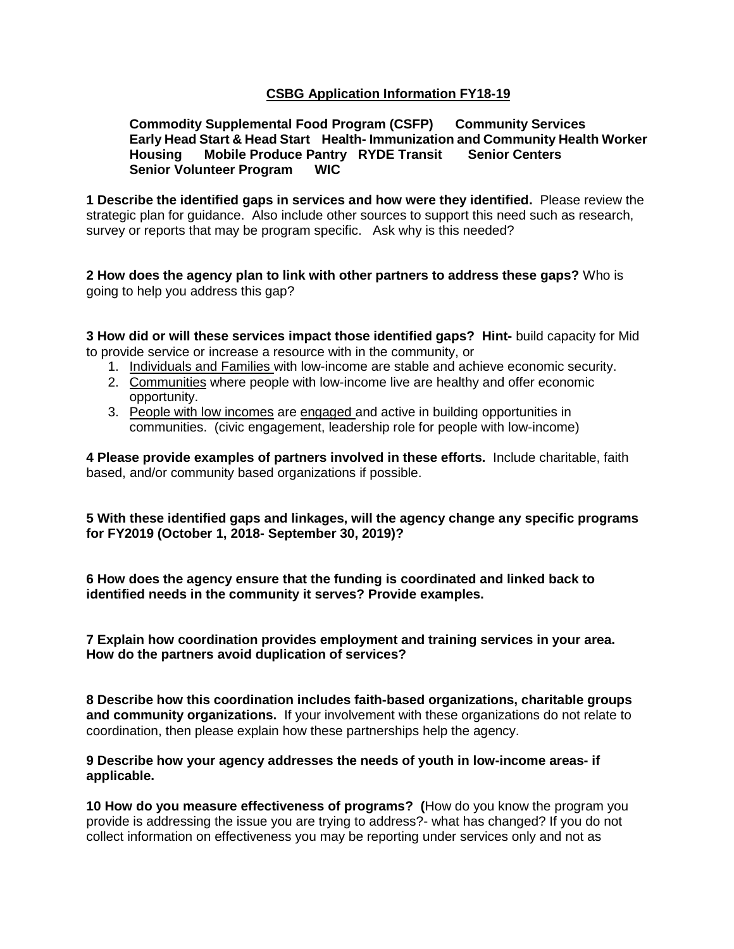## **CSBG Application Information FY18-19**

## **Commodity Supplemental Food Program (CSFP) Community Services Early Head Start & Head Start Health- Immunization and Community Health Worker Housing Mobile Produce Pantry RYDE Transit Senior Centers Senior Volunteer Program WIC**

**1 Describe the identified gaps in services and how were they identified.** Please review the strategic plan for guidance. Also include other sources to support this need such as research, survey or reports that may be program specific. Ask why is this needed?

**2 How does the agency plan to link with other partners to address these gaps?** Who is going to help you address this gap?

**3 How did or will these services impact those identified gaps? Hint-** build capacity for Mid to provide service or increase a resource with in the community, or

- 1. Individuals and Families with low-income are stable and achieve economic security.
- 2. Communities where people with low-income live are healthy and offer economic opportunity.
- 3. People with low incomes are engaged and active in building opportunities in communities. (civic engagement, leadership role for people with low-income)

**4 Please provide examples of partners involved in these efforts.** Include charitable, faith based, and/or community based organizations if possible.

**5 With these identified gaps and linkages, will the agency change any specific programs for FY2019 (October 1, 2018- September 30, 2019)?**

**6 How does the agency ensure that the funding is coordinated and linked back to identified needs in the community it serves? Provide examples.**

**7 Explain how coordination provides employment and training services in your area. How do the partners avoid duplication of services?**

**8 Describe how this coordination includes faith-based organizations, charitable groups and community organizations.** If your involvement with these organizations do not relate to coordination, then please explain how these partnerships help the agency.

**9 Describe how your agency addresses the needs of youth in low-income areas- if applicable.** 

**10 How do you measure effectiveness of programs? (**How do you know the program you provide is addressing the issue you are trying to address?- what has changed? If you do not collect information on effectiveness you may be reporting under services only and not as